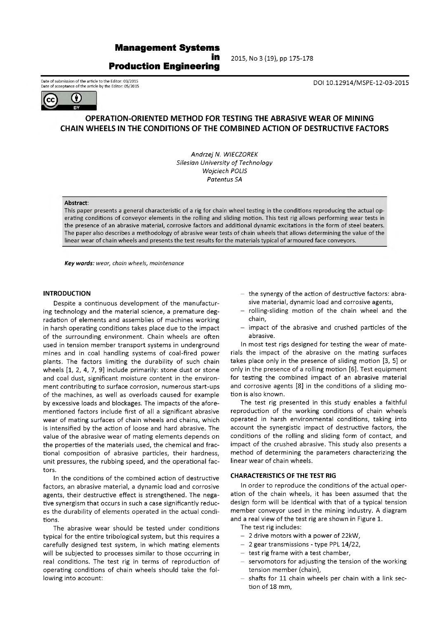## **Management System s in Production Engineering**

2015, No 3 (19), pp 175-178

Date of submission of the article to the Editor: 03/2015 Date of submission of the article to the Editor: 03/2015<br>Date of acceptance of the article by the Editor: 05/2015



# **OPERATION-ORIENTED METHOD FOR TESTING THE ABRASIVE WEAR OF MINING CHAIN WHEELS IN THE CONDITIONS OF THE COMBINED ACTION OF DESTRUCTIVE FACTORS**

*Andrzej N. WIECZOREK Silesian University of Technology Wojciech POLIS Patentus SA*

#### **Abstract**:

This paper presents a general characteristic of a rig for chain wheel testing in the conditions reproducing the actual operating conditions of conveyor elements in the rolling and sliding motion. This test rig allows performing wear tests in the presence of an abrasive material, corrosive factors and additional dynamic excitations in the form of steel beaters. The paper also describes a methodology of abrasive wear tests of chain wheels that allows determining the value of the linear wear of chain wheels and presents the test results for the materials typical of armoured face conveyors.

*Key words: wear, chain wheels, maintenance*

### **INTRODUCTION**

Despite a continuous development of the manufacturing technology and the material science, a premature degradation of elements and assemblies of machines working in harsh operating conditions takes place due to the impact of the surrounding environment. Chain wheels are often used in tension member transport systems in underground mines and in coal handling systems of coal-fired power plants. The factors limiting the durability of such chain wheels [1, 2, 4, 7, 9] include primarily: stone dust or stone and coal dust, significant moisture content in the environment contributing to surface corrosion, numerous start-ups of the machines, as well as overloads caused for example by excessive loads and blockages. The impacts of the aforementioned factors include first of all a significant abrasive wear of mating surfaces of chain wheels and chains, which is intensified by the action of loose and hard abrasive. The value of the abrasive wear of mating elements depends on the properties of the materials used, the chemical and fractional composition of abrasive particles, their hardness, unit pressures, the rubbing speed, and the operational factors.

In the conditions of the combined action of destructive factors, an abrasive material, a dynamic load and corrosive agents, their destructive effect is strengthened. The negative synergism that occurs in such a case significantly reduces the durability of elements operated in the actual conditions.

The abrasive wear should be tested under conditions typical for the entire tribological system, but this requires a carefully designed test system, in which mating elements will be subjected to processes similar to those occurring in real conditions. The test rig in terms of reproduction of operating conditions of chain wheels should take the following into account:

- the synergy of the action of destructive factors: abrasive material, dynamic load and corrosive agents,
- rolling-sliding motion of the chain wheel and the chain,
- impact of the abrasive and crushed particles of the abrasive.

In most test rigs designed for testing the wear of materials the impact of the abrasive on the mating surfaces takes place only in the presence of sliding motion [3, 5] or only in the presence of a rolling motion [6]. Test equipment for testing the combined impact of an abrasive material and corrosive agents [8] in the conditions of a sliding motion is also known.

The test rig presented in this study enables a faithful reproduction of the working conditions of chain wheels operated in harsh environmental conditions, taking into account the synergistic impact of destructive factors, the conditions of the rolling and sliding form of contact, and impact of the crushed abrasive. This study also presents a method of determining the parameters characterizing the linear wear of chain wheels.

### CHARACTERISTICS OF THE TEST RIG

In order to reproduce the conditions of the actual operation of the chain wheels, it has been assumed that the design form will be identical with that of a typical tension member conveyor used in the mining industry. A diagram and a real view of the test rig are shown in Figure 1.

The test rig includes:

- 2 drive motors with a power of 22kW,
- 2 gear transmissions type PPL 14/22,
- test rig frame with a test chamber,
- servomotors for adjusting the tension of the working tension member (chain),
- shafts for 11 chain wheels per chain with a link section of 18 mm,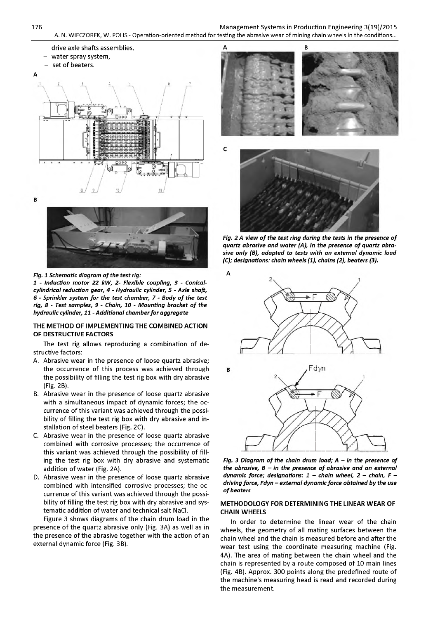176 Management Systems in Production Engineering 3(19)/2015 A. N. WIECZOREK, W. POLIS - Operation-oriented method for testing the abrasive wear of mining chain wheels in the conditions...





#### *Fig. 1 Schematic diagram of the test rig:*

*1 - Induction motor 22 kW, 2- Flexible coupling, 3 - Conicalcylindrical reduction gear, 4 - Hydraulic cylinder, 5 - Axle shaft, 6 - Sprinkler system for the test chamber, 7 - Body of the test rig, 8 - Test samples, 9 - Chain, 10 - Mounting bracket of the hydraulic cylinder, 11 - Additional chamber for aggregate*

#### THE METHOD OF IMPLEMENTING THE COMBINED ACTION OF DESTRUCTIVE FACTORS

The test rig allows reproducing a combination of destructive factors:

- A. Abrasive wear in the presence of loose quartz abrasive; the occurrence of this process was achieved through the possibility of filling the test rig box with dry abrasive (Fig. 2B).
- B. Abrasive wear in the presence of loose quartz abrasive with a simultaneous impact of dynamic forces; the occurrence of this variant was achieved through the possibility of filling the test rig box with dry abrasive and installation of steel beaters (Fig. 2C).
- C. Abrasive wear in the presence of loose quartz abrasive combined with corrosive processes; the occurrence of this variant was achieved through the possibility of filling the test rig box with dry abrasive and systematic addition of water (Fig. 2A).
- D. Abrasive wear in the presence of loose quartz abrasive combined with intensified corrosive processes; the occurrence of this variant was achieved through the possibility of filling the test rig box with dry abrasive and systematic addition of water and technical salt NaCl.

Figure 3 shows diagrams of the chain drum load in the presence of the quartz abrasive only (Fig. 3A) as well as in the presence of the abrasive together with the action of an external dynamic force (Fig. 3B).





*Fig. 2 A view of the test ring during the tests in the presence of quartz abrasive and water (A), in the presence of quartz abrasive only (B), adapted to tests with an external dynamic load (C); designations: chain wheels (1), chains (2), beaters (3).*



Fig. 3 Diagram of the chain drum load; A - in the presence of *the abrasive, B - in the presence of abrasive and an external dynamic force; designations: 1 - chain wheel, 2 - chain, F driving force, Fdyn - external dynamic force obtained by the use of beaters*

### METHODOLOGY FOR DETERMINING THE LINEAR WEAR OF CHAIN WHEELS

In order to determine the linear wear of the chain wheels, the geometry of all mating surfaces between the chain wheel and the chain is measured before and after the wear test using the coordinate measuring machine (Fig. 4A). The area of mating between the chain wheel and the chain is represented by a route composed of 10 main lines (Fig. 4B). Approx. 300 points along the predefined route of the machine's measuring head is read and recorded during the measurement.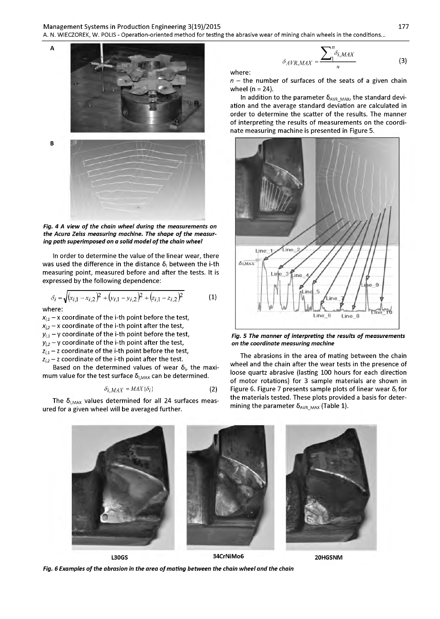

*Fig. 4 A view of the chain wheel during the measurements on the Acura Zeiss measuring machine. The shape of the measuring path superimposed on a solid model of the chain wheel*

In order to determine the value of the linear wear, there was used the difference in the distance  $\delta_i$  between the i-th measuring point, measured before and after the tests. It is expressed by the following dependence:

$$
\delta_i = \sqrt{(x_{i,1} - x_{i,2})^2 + (y_{i,1} - y_{i,2})^2 + (z_{i,1} - z_{i,2})^2}
$$
 (1)

where:

 $x_{i,1}$  - x coordinate of the *i*-th point before the test,  $x_{i2}$  – x coordinate of the *i*-th point after the test,  $y_{i,1}$  – y coordinate of the i-th point before the test,  $y_{i2}$  – y coordinate of the i-th point after the test,  $z_{i,1}$  – z coordinate of the *i*-th point before the test,  $z_{i,2}$  - z coordinate of the *i*-th point after the test.

Based on the determined values of wear  $\delta_i$ , the maximum value for the test surface  $\delta_{i,MAX}$  can be determined.

$$
\delta_{i,MAX} = MAX\{\delta_i\}
$$
 (2)

*Fig. 6 Examples of the abrasion in the area of mating between the chain wheel and the chain*

The  $\delta_{i,MAX}$  values determined for all 24 surfaces measured for a given wheel will be averaged further.

$$
\delta_{AVR,MAX} = \frac{\sum_{1}^{n} \delta_{i,MAX}}{n}
$$
 (3)

where:

 $n -$  the number of surfaces of the seats of a given chain wheel ( $n = 24$ ).

In addition to the parameter  $\delta_{AVRMAX}$ , the standard deviation and the average standard deviation are calculated in order to determine the scatter of the results. The manner of interpreting the results of measurements on the coordinate measuring machine is presented in Figure 5.



*Fig. 5 The manner of interpreting the results of measurements on the coordinate measuring machine*

The abrasions in the area of mating between the chain wheel and the chain after the wear tests in the presence of loose quartz abrasive (lasting 100 hours for each direction of motor rotations) for 3 sample materials are shown in Figure 6. Figure 7 presents sample plots of linear wear  $\delta_i$  for the materials tested. These plots provided a basis for determining the parameter  $\delta_{AVRMAX}$  (Table 1).



**20HGSNM**